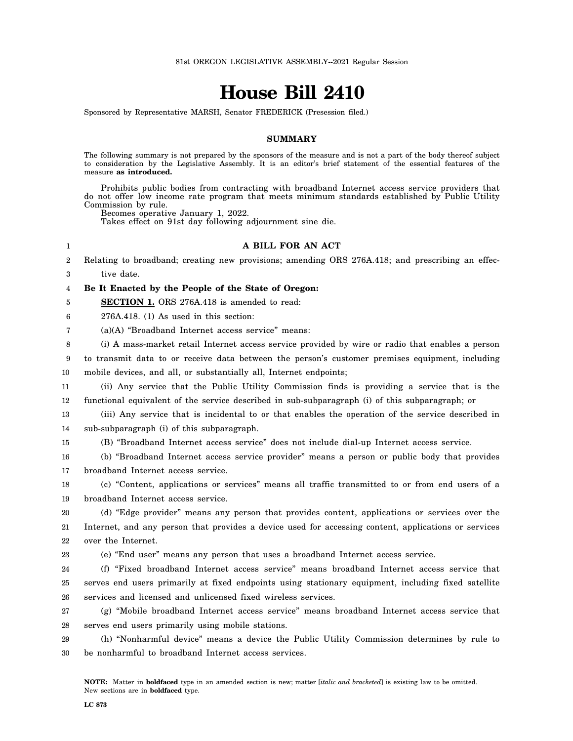# **House Bill 2410**

Sponsored by Representative MARSH, Senator FREDERICK (Presession filed.)

## **SUMMARY**

The following summary is not prepared by the sponsors of the measure and is not a part of the body thereof subject to consideration by the Legislative Assembly. It is an editor's brief statement of the essential features of the measure **as introduced.**

Prohibits public bodies from contracting with broadband Internet access service providers that do not offer low income rate program that meets minimum standards established by Public Utility Commission by rule.

Becomes operative January 1, 2022.

Takes effect on 91st day following adjournment sine die.

## **A BILL FOR AN ACT**

2 3 Relating to broadband; creating new provisions; amending ORS 276A.418; and prescribing an effective date.

4 **Be It Enacted by the People of the State of Oregon:**

5 **SECTION 1.** ORS 276A.418 is amended to read:

6 276A.418. (1) As used in this section:

1

7 (a)(A) "Broadband Internet access service" means:

8 (i) A mass-market retail Internet access service provided by wire or radio that enables a person

9 10 to transmit data to or receive data between the person's customer premises equipment, including mobile devices, and all, or substantially all, Internet endpoints;

11 12 (ii) Any service that the Public Utility Commission finds is providing a service that is the functional equivalent of the service described in sub-subparagraph (i) of this subparagraph; or

13 14 (iii) Any service that is incidental to or that enables the operation of the service described in sub-subparagraph (i) of this subparagraph.

15 (B) "Broadband Internet access service" does not include dial-up Internet access service.

16 17 (b) "Broadband Internet access service provider" means a person or public body that provides broadband Internet access service.

18 19 (c) "Content, applications or services" means all traffic transmitted to or from end users of a broadband Internet access service.

20 21 22 (d) "Edge provider" means any person that provides content, applications or services over the Internet, and any person that provides a device used for accessing content, applications or services over the Internet.

23 (e) "End user" means any person that uses a broadband Internet access service.

24 25 26 (f) "Fixed broadband Internet access service" means broadband Internet access service that serves end users primarily at fixed endpoints using stationary equipment, including fixed satellite services and licensed and unlicensed fixed wireless services.

27 28 (g) "Mobile broadband Internet access service" means broadband Internet access service that serves end users primarily using mobile stations.

29 30 (h) "Nonharmful device" means a device the Public Utility Commission determines by rule to be nonharmful to broadband Internet access services.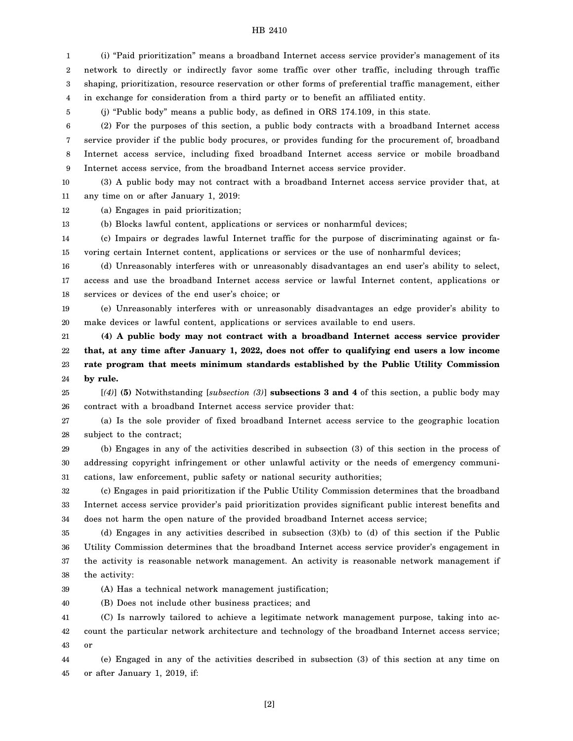#### HB 2410

1 2 3 4 (i) "Paid prioritization" means a broadband Internet access service provider's management of its network to directly or indirectly favor some traffic over other traffic, including through traffic shaping, prioritization, resource reservation or other forms of preferential traffic management, either in exchange for consideration from a third party or to benefit an affiliated entity.

(j) "Public body" means a public body, as defined in ORS 174.109, in this state.

6 7 8 9 (2) For the purposes of this section, a public body contracts with a broadband Internet access service provider if the public body procures, or provides funding for the procurement of, broadband Internet access service, including fixed broadband Internet access service or mobile broadband Internet access service, from the broadband Internet access service provider.

10 11 (3) A public body may not contract with a broadband Internet access service provider that, at any time on or after January 1, 2019:

12 (a) Engages in paid prioritization;

5

13 (b) Blocks lawful content, applications or services or nonharmful devices;

14 15 (c) Impairs or degrades lawful Internet traffic for the purpose of discriminating against or favoring certain Internet content, applications or services or the use of nonharmful devices;

16 17 18 (d) Unreasonably interferes with or unreasonably disadvantages an end user's ability to select, access and use the broadband Internet access service or lawful Internet content, applications or services or devices of the end user's choice; or

19 20 (e) Unreasonably interferes with or unreasonably disadvantages an edge provider's ability to make devices or lawful content, applications or services available to end users.

21 22 23 24 **(4) A public body may not contract with a broadband Internet access service provider that, at any time after January 1, 2022, does not offer to qualifying end users a low income rate program that meets minimum standards established by the Public Utility Commission by rule.**

25 26 [*(4)*] **(5)** Notwithstanding [*subsection (3)*] **subsections 3 and 4** of this section, a public body may contract with a broadband Internet access service provider that:

27 28 (a) Is the sole provider of fixed broadband Internet access service to the geographic location subject to the contract;

29 30 31 (b) Engages in any of the activities described in subsection (3) of this section in the process of addressing copyright infringement or other unlawful activity or the needs of emergency communications, law enforcement, public safety or national security authorities;

32 33 34 (c) Engages in paid prioritization if the Public Utility Commission determines that the broadband Internet access service provider's paid prioritization provides significant public interest benefits and does not harm the open nature of the provided broadband Internet access service;

35 36 37 38 (d) Engages in any activities described in subsection (3)(b) to (d) of this section if the Public Utility Commission determines that the broadband Internet access service provider's engagement in the activity is reasonable network management. An activity is reasonable network management if the activity:

39 (A) Has a technical network management justification;

40 (B) Does not include other business practices; and

41 42 43 (C) Is narrowly tailored to achieve a legitimate network management purpose, taking into account the particular network architecture and technology of the broadband Internet access service; or

44 45 (e) Engaged in any of the activities described in subsection (3) of this section at any time on or after January 1, 2019, if: